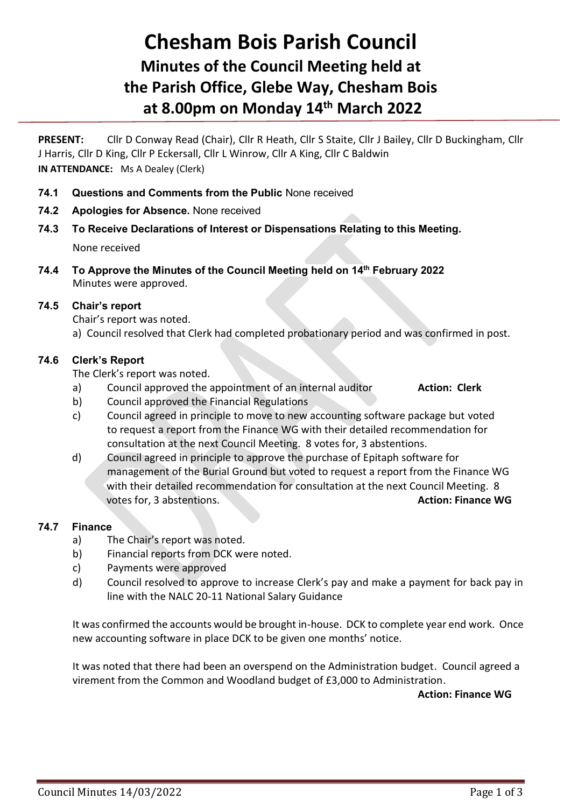# **Chesham Bois Parish Council Minutes of the Council Meeting held at the Parish Office, Glebe Way, Chesham Bois at 8.00pm on Monday 14 th March 2022**

**PRESENT:** Cllr D Conway Read (Chair), Cllr R Heath, Cllr S Staite, Cllr J Bailey, Cllr D Buckingham, Cllr J Harris, Cllr D King, Cllr P Eckersall, Cllr L Winrow, Cllr A King, Cllr C Baldwin **IN ATTENDANCE:** Ms A Dealey (Clerk)

- **74.1 Questions and Comments from the Public** None received
- **74.2 Apologies for Absence.** None received
- **74.3 To Receive Declarations of Interest or Dispensations Relating to this Meeting.** None received
- **74.4 To Approve the Minutes of the Council Meeting held on 14 th February 2022** Minutes were approved.

## **74.5 Chair's report**

Chair's report was noted.

a) Council resolved that Clerk had completed probationary period and was confirmed in post.

## **74.6 Clerk's Report**

The Clerk's report was noted.

- a) Council approved the appointment of an internal auditor **Action: Clerk**
- b) Council approved the Financial Regulations
- c) Council agreed in principle to move to new accounting software package but voted to request a report from the Finance WG with their detailed recommendation for consultation at the next Council Meeting. 8 votes for, 3 abstentions.
- d) Council agreed in principle to approve the purchase of Epitaph software for management of the Burial Ground but voted to request a report from the Finance WG with their detailed recommendation for consultation at the next Council Meeting. 8 votes for, 3 abstentions. **Action: Finance WG**

### **74.7 Finance**

- a) The Chair's report was noted.
- b) Financial reports from DCK were noted.
- c) Payments were approved
- d) Council resolved to approve to increase Clerk's pay and make a payment for back pay in line with the NALC 20-11 National Salary Guidance

It was confirmed the accounts would be brought in-house. DCK to complete year end work. Once new accounting software in place DCK to be given one months' notice.

It was noted that there had been an overspend on the Administration budget. Council agreed a virement from the Common and Woodland budget of £3,000 to Administration.

**Action: Finance WG**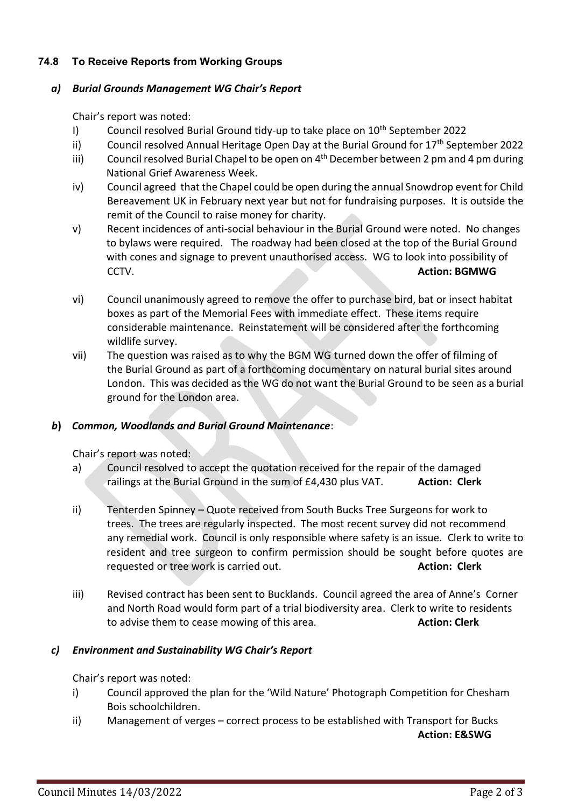# **74.8 To Receive Reports from Working Groups**

## *a) Burial Grounds Management WG Chair's Report*

Chair's report was noted:

- I) Council resolved Burial Ground tidy-up to take place on  $10<sup>th</sup>$  September 2022
- ii) Council resolved Annual Heritage Open Day at the Burial Ground for  $17<sup>th</sup>$  September 2022
- iii) Council resolved Burial Chapel to be open on 4<sup>th</sup> December between 2 pm and 4 pm during National Grief Awareness Week.
- iv) Council agreed that the Chapel could be open during the annual Snowdrop event for Child Bereavement UK in February next year but not for fundraising purposes. It is outside the remit of the Council to raise money for charity.
- v) Recent incidences of anti-social behaviour in the Burial Ground were noted. No changes to bylaws were required. The roadway had been closed at the top of the Burial Ground with cones and signage to prevent unauthorised access. WG to look into possibility of CCTV. **Action: BGMWG**
- vi) Council unanimously agreed to remove the offer to purchase bird, bat or insect habitat boxes as part of the Memorial Fees with immediate effect. These items require considerable maintenance. Reinstatement will be considered after the forthcoming wildlife survey.
- vii) The question was raised as to why the BGM WG turned down the offer of filming of the Burial Ground as part of a forthcoming documentary on natural burial sites around London. This was decided as the WG do not want the Burial Ground to be seen as a burial ground for the London area.

### *b***)** *Common, Woodlands and Burial Ground Maintenance*:

Chair's report was noted:

- a) Council resolved to accept the quotation received for the repair of the damaged railings at the Burial Ground in the sum of £4,430 plus VAT. **Action: Clerk**
- ii) Tenterden Spinney Quote received from South Bucks Tree Surgeons for work to trees. The trees are regularly inspected. The most recent survey did not recommend any remedial work. Council is only responsible where safety is an issue. Clerk to write to resident and tree surgeon to confirm permission should be sought before quotes are requested or tree work is carried out. **Action: Clerk**
- iii) Revised contract has been sent to Bucklands. Council agreed the area of Anne's Corner and North Road would form part of a trial biodiversity area. Clerk to write to residents to advise them to cease mowing of this area. **Action: Clerk**

# *c) Environment and Sustainability WG Chair's Report*

Chair's report was noted:

- i) Council approved the plan for the 'Wild Nature' Photograph Competition for Chesham Bois schoolchildren.
- ii) Management of verges correct process to be established with Transport for Bucks **Action: E&SWG**